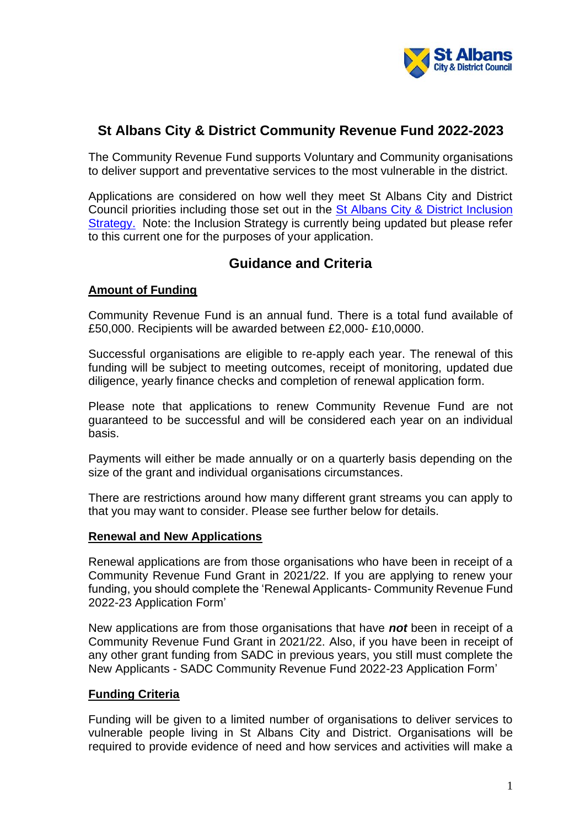

# **St Albans City & District Community Revenue Fund 2022-2023**

The Community Revenue Fund supports Voluntary and Community organisations to deliver support and preventative services to the most vulnerable in the district.

Applications are considered on how well they meet St Albans City and District Council priorities including those set out in the [St Albans City & District Inclusion](https://www.stalbans.gov.uk/sites/default/files/documents/publications/council/Inclusion%20Strategy%202017-2020%20-%20Final_tcm15-53796.pdf)  [Strategy.](https://www.stalbans.gov.uk/sites/default/files/documents/publications/council/Inclusion%20Strategy%202017-2020%20-%20Final_tcm15-53796.pdf) Note: the Inclusion Strategy is currently being updated but please refer to this current one for the purposes of your application.

# **Guidance and Criteria**

### **Amount of Funding**

Community Revenue Fund is an annual fund. There is a total fund available of £50,000. Recipients will be awarded between £2,000- £10,0000.

Successful organisations are eligible to re-apply each year. The renewal of this funding will be subject to meeting outcomes, receipt of monitoring, updated due diligence, yearly finance checks and completion of renewal application form.

Please note that applications to renew Community Revenue Fund are not guaranteed to be successful and will be considered each year on an individual basis.

Payments will either be made annually or on a quarterly basis depending on the size of the grant and individual organisations circumstances.

There are restrictions around how many different grant streams you can apply to that you may want to consider. Please see further below for details.

#### **Renewal and New Applications**

Renewal applications are from those organisations who have been in receipt of a Community Revenue Fund Grant in 2021/22. If you are applying to renew your funding, you should complete the 'Renewal Applicants- Community Revenue Fund 2022-23 Application Form'

New applications are from those organisations that have *not* been in receipt of a Community Revenue Fund Grant in 2021/22. Also, if you have been in receipt of any other grant funding from SADC in previous years, you still must complete the New Applicants - SADC Community Revenue Fund 2022-23 Application Form'

#### **Funding Criteria**

Funding will be given to a limited number of organisations to deliver services to vulnerable people living in St Albans City and District. Organisations will be required to provide evidence of need and how services and activities will make a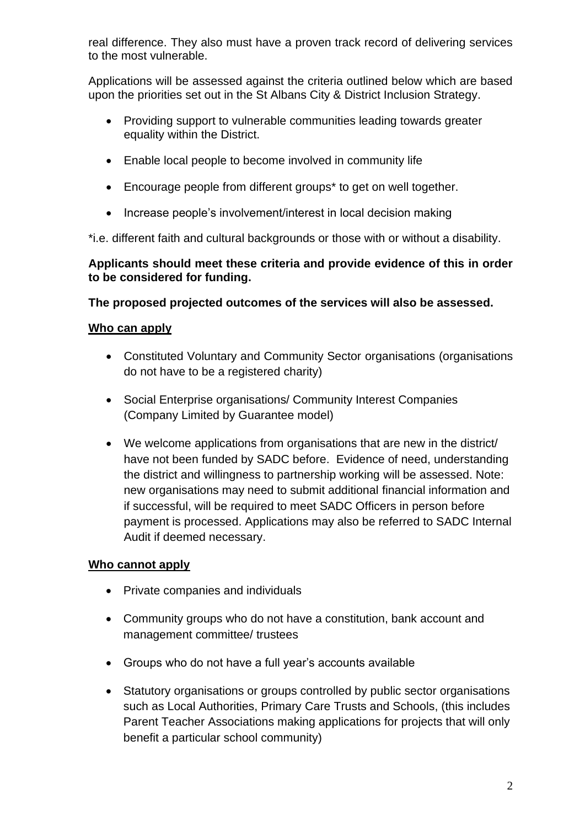real difference. They also must have a proven track record of delivering services to the most vulnerable.

Applications will be assessed against the criteria outlined below which are based upon the priorities set out in the St Albans City & District Inclusion Strategy.

- Providing support to vulnerable communities leading towards greater equality within the District.
- Enable local people to become involved in community life
- Encourage people from different groups\* to get on well together.
- Increase people's involvement/interest in local decision making

\*i.e. different faith and cultural backgrounds or those with or without a disability.

### **Applicants should meet these criteria and provide evidence of this in order to be considered for funding.**

# **The proposed projected outcomes of the services will also be assessed.**

# **Who can apply**

- Constituted Voluntary and Community Sector organisations (organisations do not have to be a registered charity)
- Social Enterprise organisations/ Community Interest Companies (Company Limited by Guarantee model)
- We welcome applications from organisations that are new in the district/ have not been funded by SADC before. Evidence of need, understanding the district and willingness to partnership working will be assessed. Note: new organisations may need to submit additional financial information and if successful, will be required to meet SADC Officers in person before payment is processed. Applications may also be referred to SADC Internal Audit if deemed necessary.

# **Who cannot apply**

- Private companies and individuals
- Community groups who do not have a constitution, bank account and management committee/ trustees
- Groups who do not have a full year's accounts available
- Statutory organisations or groups controlled by public sector organisations such as Local Authorities, Primary Care Trusts and Schools, (this includes Parent Teacher Associations making applications for projects that will only benefit a particular school community)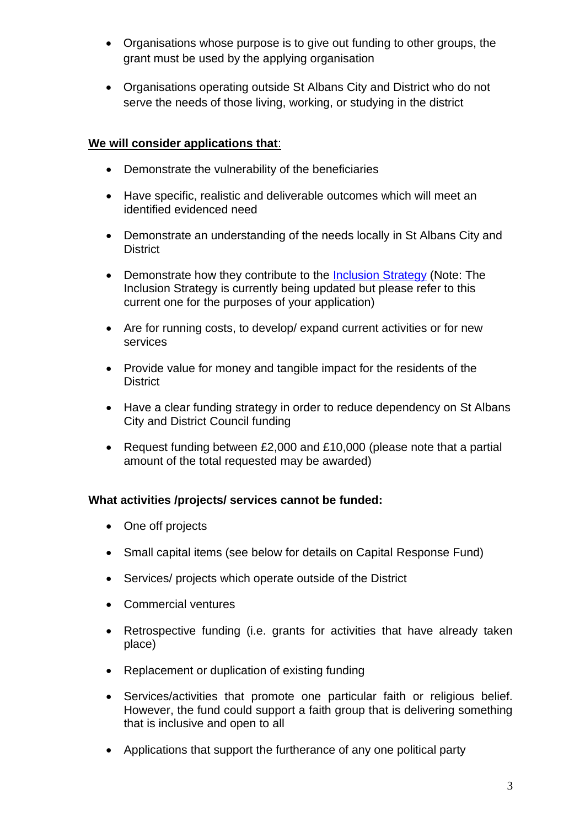- Organisations whose purpose is to give out funding to other groups, the grant must be used by the applying organisation
- Organisations operating outside St Albans City and District who do not serve the needs of those living, working, or studying in the district

# **We will consider applications that**:

- Demonstrate the vulnerability of the beneficiaries
- Have specific, realistic and deliverable outcomes which will meet an identified evidenced need
- Demonstrate an understanding of the needs locally in St Albans City and **District**
- Demonstrate how they contribute to the [Inclusion Strategy](https://www.stalbans.gov.uk/sites/default/files/documents/publications/council/Inclusion%20Strategy%202017-2020%20-%20Final_tcm15-53796.pdf) (Note: The Inclusion Strategy is currently being updated but please refer to this current one for the purposes of your application)
- Are for running costs, to develop/ expand current activities or for new services
- Provide value for money and tangible impact for the residents of the **District**
- Have a clear funding strategy in order to reduce dependency on St Albans City and District Council funding
- Request funding between £2,000 and £10,000 (please note that a partial amount of the total requested may be awarded)

# **What activities /projects/ services cannot be funded:**

- One off projects
- Small capital items (see below for details on Capital Response Fund)
- Services/ projects which operate outside of the District
- Commercial ventures
- Retrospective funding (i.e. grants for activities that have already taken place)
- Replacement or duplication of existing funding
- Services/activities that promote one particular faith or religious belief. However, the fund could support a faith group that is delivering something that is inclusive and open to all
- Applications that support the furtherance of any one political party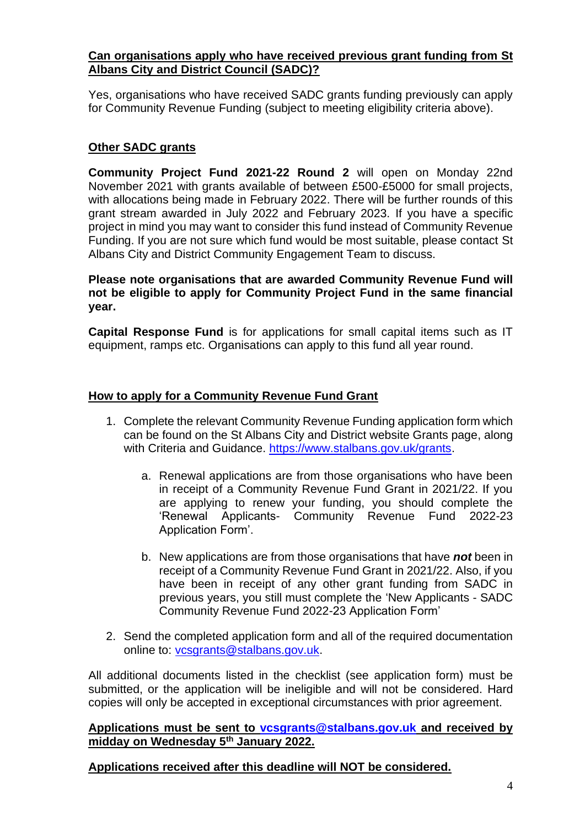### **Can organisations apply who have received previous grant funding from St Albans City and District Council (SADC)?**

Yes, organisations who have received SADC grants funding previously can apply for Community Revenue Funding (subject to meeting eligibility criteria above).

## **Other SADC grants**

**Community Project Fund 2021-22 Round 2** will open on Monday 22nd November 2021 with grants available of between £500-£5000 for small projects, with allocations being made in February 2022. There will be further rounds of this grant stream awarded in July 2022 and February 2023. If you have a specific project in mind you may want to consider this fund instead of Community Revenue Funding. If you are not sure which fund would be most suitable, please contact St Albans City and District Community Engagement Team to discuss.

**Please note organisations that are awarded Community Revenue Fund will not be eligible to apply for Community Project Fund in the same financial year.**

**Capital Response Fund** is for applications for small capital items such as IT equipment, ramps etc. Organisations can apply to this fund all year round.

### **How to apply for a Community Revenue Fund Grant**

- 1. Complete the relevant Community Revenue Funding application form which can be found on the St Albans City and District website Grants page, along with Criteria and Guidance. [https://www.stalbans.gov.uk/grants.](https://www.stalbans.gov.uk/grants)
	- a. Renewal applications are from those organisations who have been in receipt of a Community Revenue Fund Grant in 2021/22. If you are applying to renew your funding, you should complete the 'Renewal Applicants- Community Revenue Fund 2022-23 Application Form'.
	- b. New applications are from those organisations that have *not* been in receipt of a Community Revenue Fund Grant in 2021/22. Also, if you have been in receipt of any other grant funding from SADC in previous years, you still must complete the 'New Applicants - SADC Community Revenue Fund 2022-23 Application Form'
- 2. Send the completed application form and all of the required documentation online to: [vcsgrants@stalbans.gov.uk.](mailto:vcsgrants@stalbans.gov.uk)

All additional documents listed in the checklist (see application form) must be submitted, or the application will be ineligible and will not be considered. Hard copies will only be accepted in exceptional circumstances with prior agreement.

#### **Applications must be sent to [vcsgrants@stalbans.gov.uk](mailto:vcsgrants@stalbans.gov.uk) and received by midday on Wednesday 5th January 2022.**

**Applications received after this deadline will NOT be considered.**